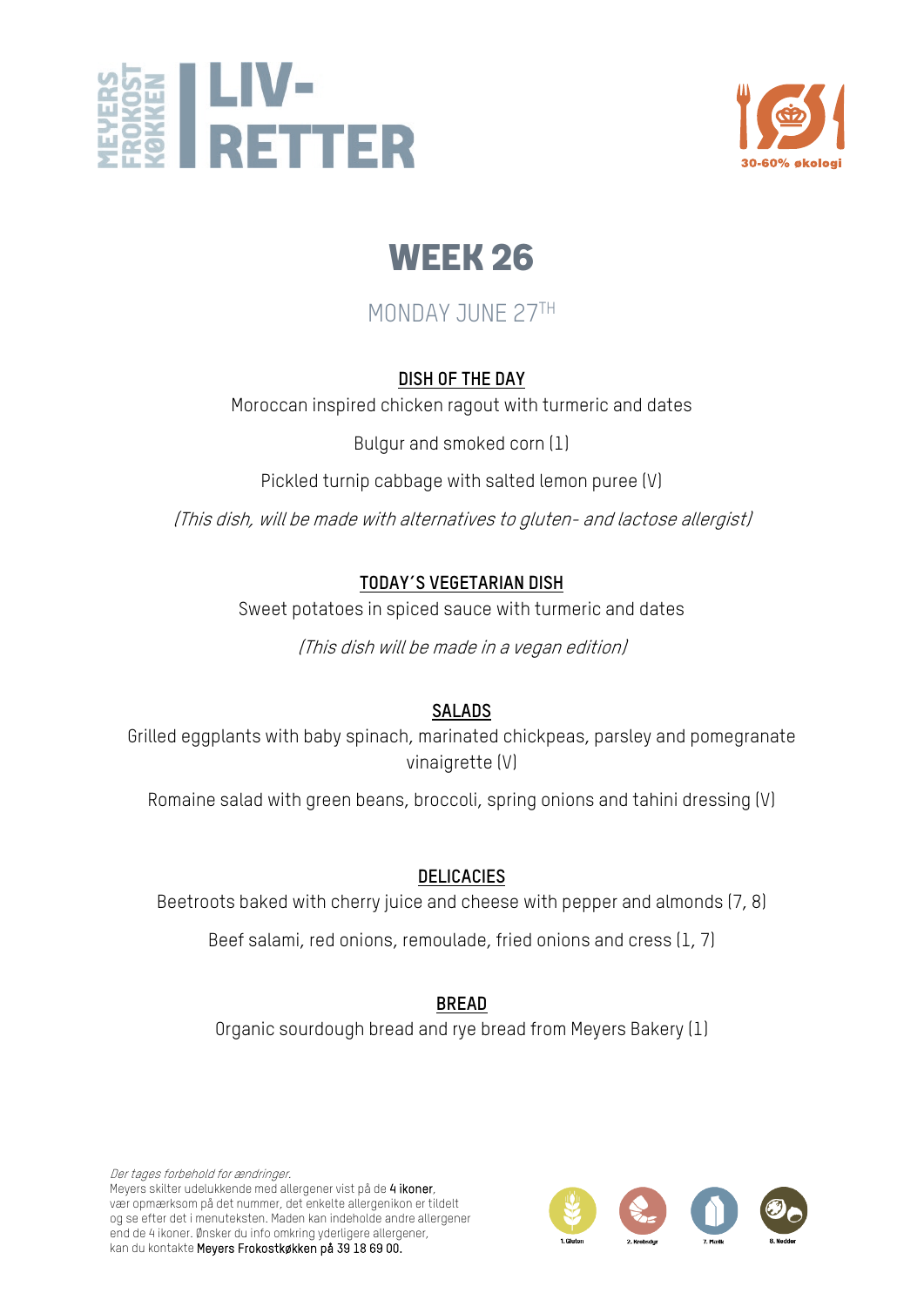



## MONDAY JUNE 27TH

#### **DISH OF THE DAY**

Moroccan inspired chicken ragout with turmeric and dates

Bulgur and smoked corn (1)

Pickled turnip cabbage with salted lemon puree (V)

(This dish, will be made with alternatives to gluten- and lactose allergist)

#### **TODAY´S VEGETARIAN DISH**

Sweet potatoes in spiced sauce with turmeric and dates

(This dish will be made in a vegan edition)

#### **SALADS**

Grilled eggplants with baby spinach, marinated chickpeas, parsley and pomegranate vinaigrette (V)

Romaine salad with green beans, broccoli, spring onions and tahini dressing (V)

#### **DELICACIES**

Beetroots baked with cherry juice and cheese with pepper and almonds (7, 8)

Beef salami, red onions, remoulade, fried onions and cress (1, 7)

#### **BREAD**

Organic sourdough bread and rye bread from Meyers Bakery (1)

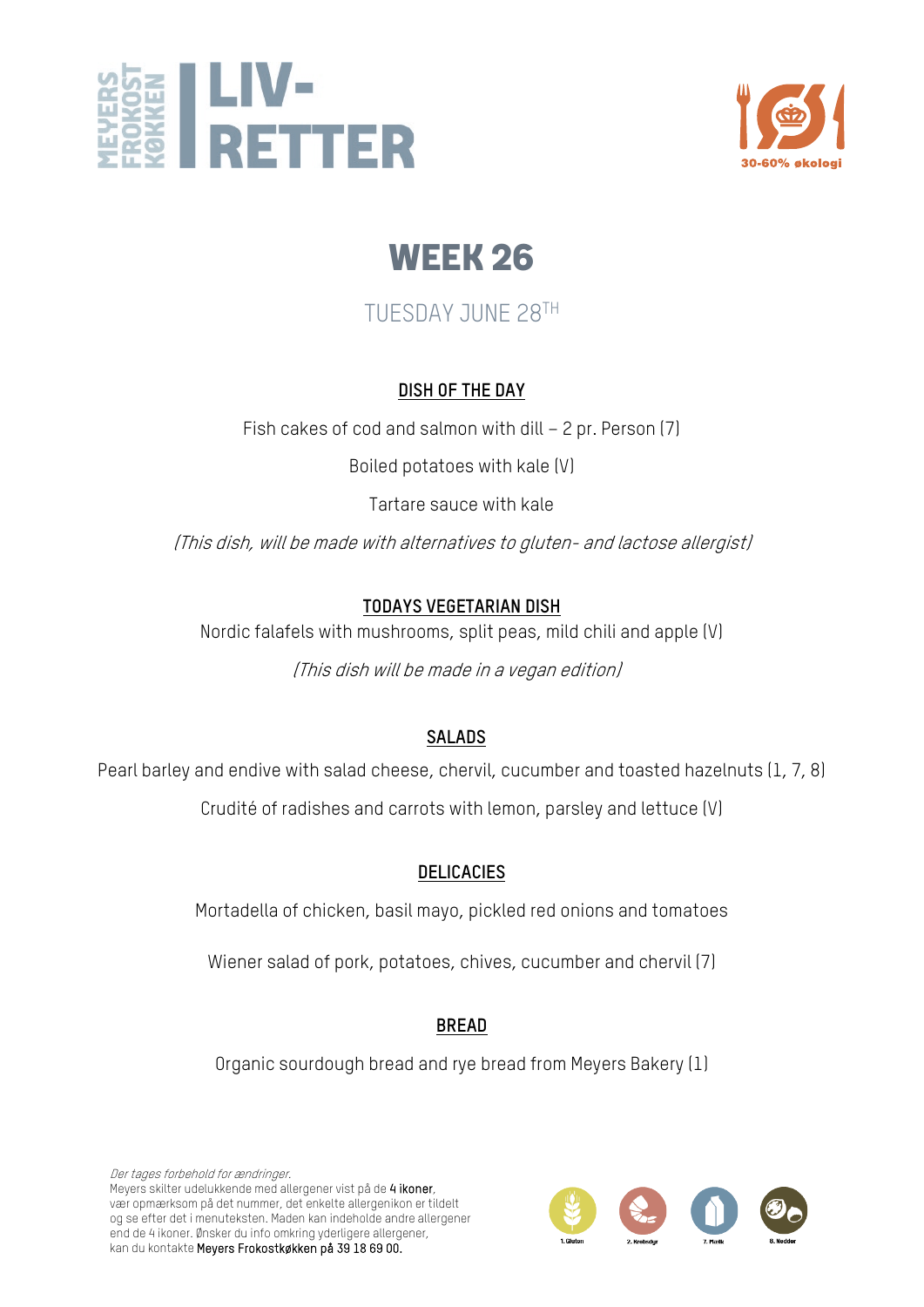



## TUESDAY JUNE 28TH

#### **DISH OF THE DAY**

Fish cakes of cod and salmon with dill – 2 pr. Person (7)

Boiled potatoes with kale (V)

Tartare sauce with kale

(This dish, will be made with alternatives to gluten- and lactose allergist)

#### **TODAYS VEGETARIAN DISH**

Nordic falafels with mushrooms, split peas, mild chili and apple (V)

(This dish will be made in a vegan edition)

#### **SALADS**

Pearl barley and endive with salad cheese, chervil, cucumber and toasted hazelnuts (1, 7, 8) Crudité of radishes and carrots with lemon, parsley and lettuce (V)

#### **DELICACIES**

Mortadella of chicken, basil mayo, pickled red onions and tomatoes

Wiener salad of pork, potatoes, chives, cucumber and chervil (7)

#### **BREAD**

Organic sourdough bread and rye bread from Meyers Bakery (1)

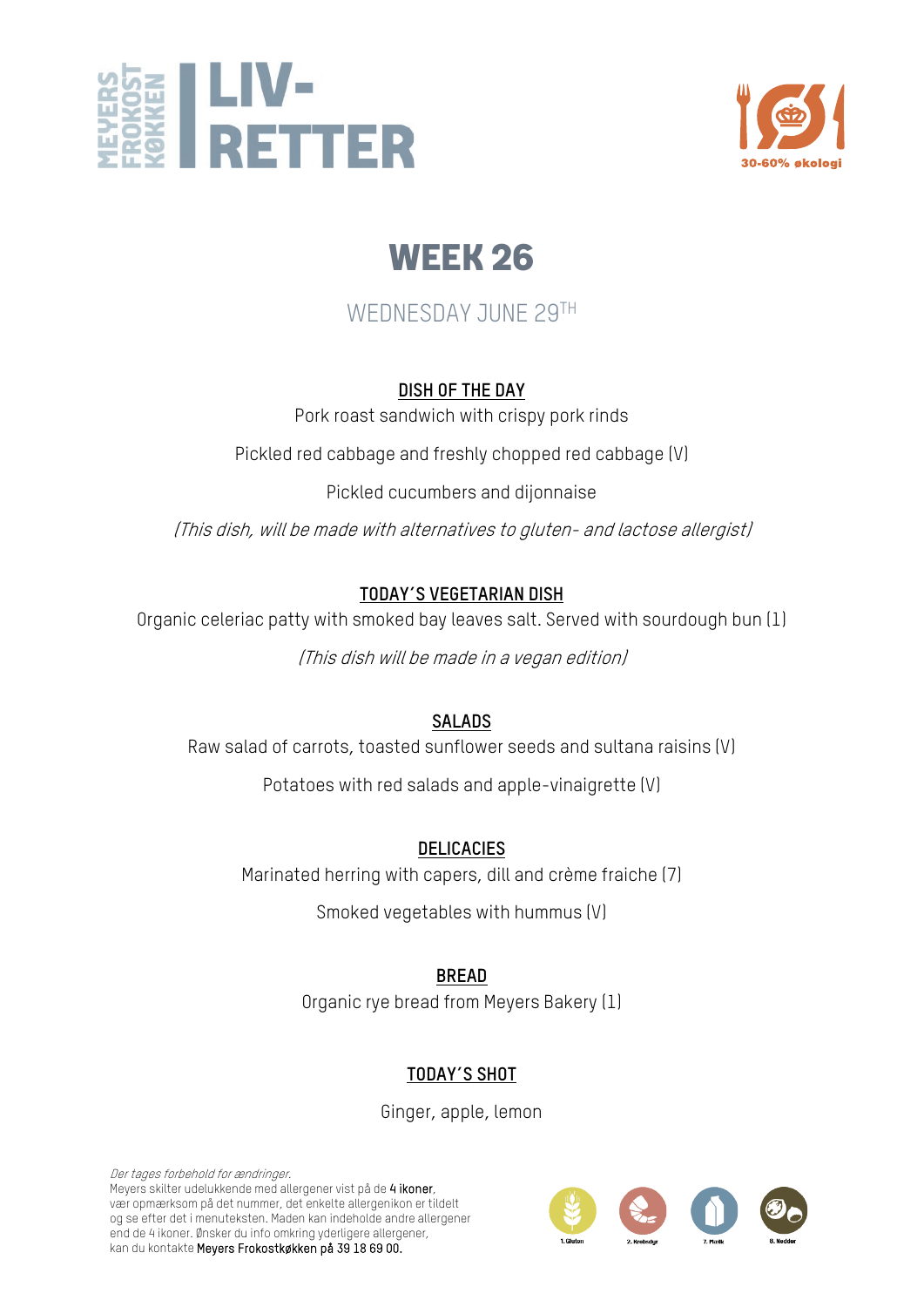



### WEDNESDAY JUNE 29TH

#### **DISH OF THE DAY**

Pork roast sandwich with crispy pork rinds

Pickled red cabbage and freshly chopped red cabbage (V)

Pickled cucumbers and dijonnaise

(This dish, will be made with alternatives to gluten- and lactose allergist)

#### **TODAY´S VEGETARIAN DISH**

Organic celeriac patty with smoked bay leaves salt. Served with sourdough bun (1)

(This dish will be made in a vegan edition)

#### **SALADS**

Raw salad of carrots, toasted sunflower seeds and sultana raisins (V)

Potatoes with red salads and apple-vinaigrette (V)

**DELICACIES**

Marinated herring with capers, dill and crème fraiche (7)

Smoked vegetables with hummus (V)

**BREAD**

Organic rye bread from Meyers Bakery (1)

### **TODAY´S SHOT**

Ginger, apple, lemon

Der tages forbehold for ændringer. Meyers skilter udelukkende med allergener vist på de 4 ikoner, vær opmærksom på det nummer, det enkelte allergenikon er tildelt og se efter det i menuteksten. Maden kan indeholde andre allergener end de 4 ikoner. Ønsker du info omkring yderligere allergener, kan du kontakte Meyers Frokostkøkken på 39 18 69 00.

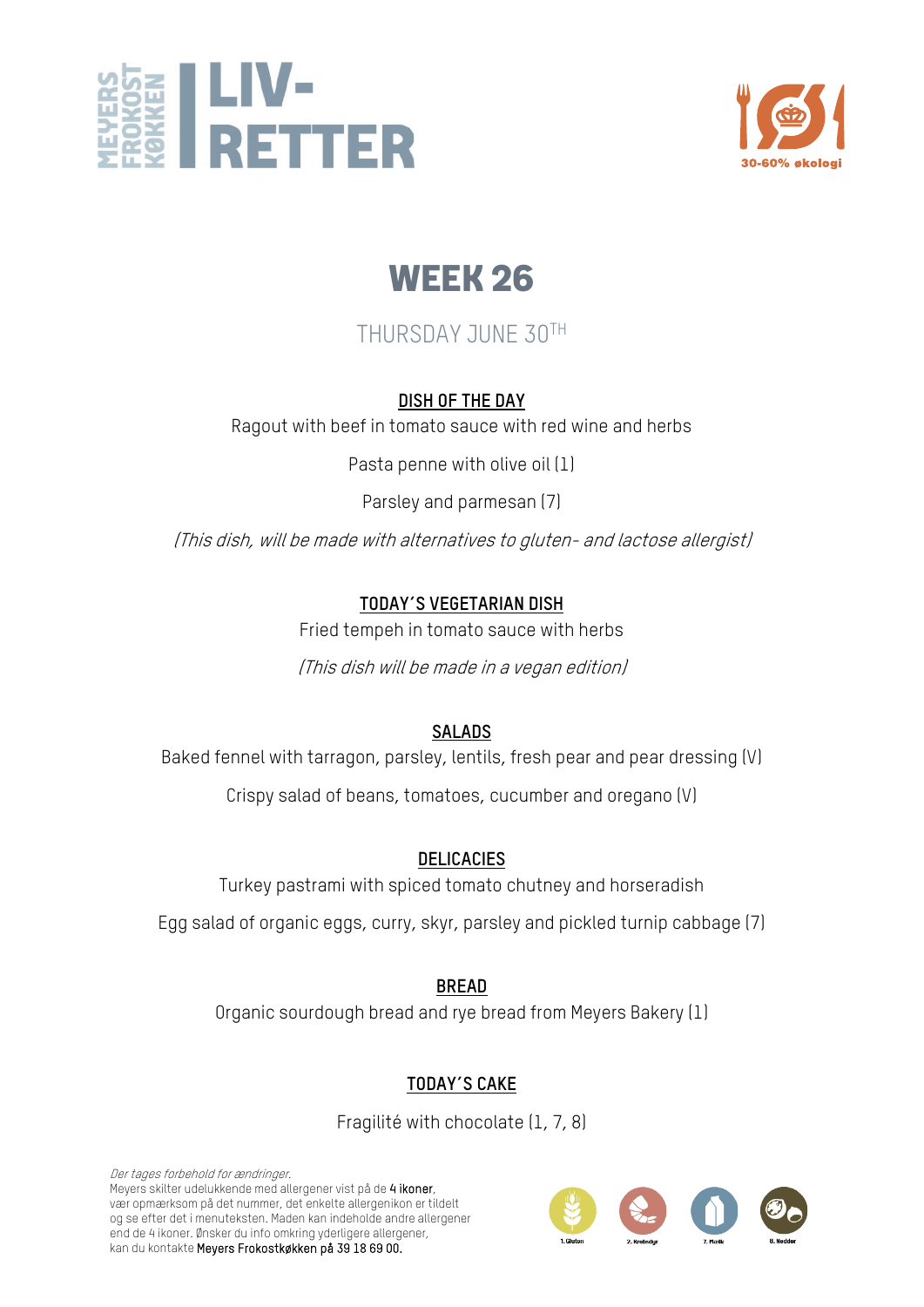



## THURSDAY JUNE 30TH

#### **DISH OF THE DAY**

Ragout with beef in tomato sauce with red wine and herbs

Pasta penne with olive oil (1)

Parsley and parmesan (7)

(This dish, will be made with alternatives to gluten- and lactose allergist)

#### **TODAY´S VEGETARIAN DISH**

Fried tempeh in tomato sauce with herbs

(This dish will be made in a vegan edition)

#### **SALADS**

Baked fennel with tarragon, parsley, lentils, fresh pear and pear dressing (V)

Crispy salad of beans, tomatoes, cucumber and oregano (V)

#### **DELICACIES**

Turkey pastrami with spiced tomato chutney and horseradish

Egg salad of organic eggs, curry, skyr, parsley and pickled turnip cabbage (7)

**BREAD**

Organic sourdough bread and rye bread from Meyers Bakery (1)

#### **TODAY´S CAKE**

Fragilité with chocolate (1, 7, 8)

Der tages forbehold for ændringer. Meyers skilter udelukkende med allergener vist på de 4 ikoner, vær opmærksom på det nummer, det enkelte allergenikon er tildelt og se efter det i menuteksten. Maden kan indeholde andre allergener end de 4 ikoner. Ønsker du info omkring yderligere allergener, kan du kontakte Meyers Frokostkøkken på 39 18 69 00.